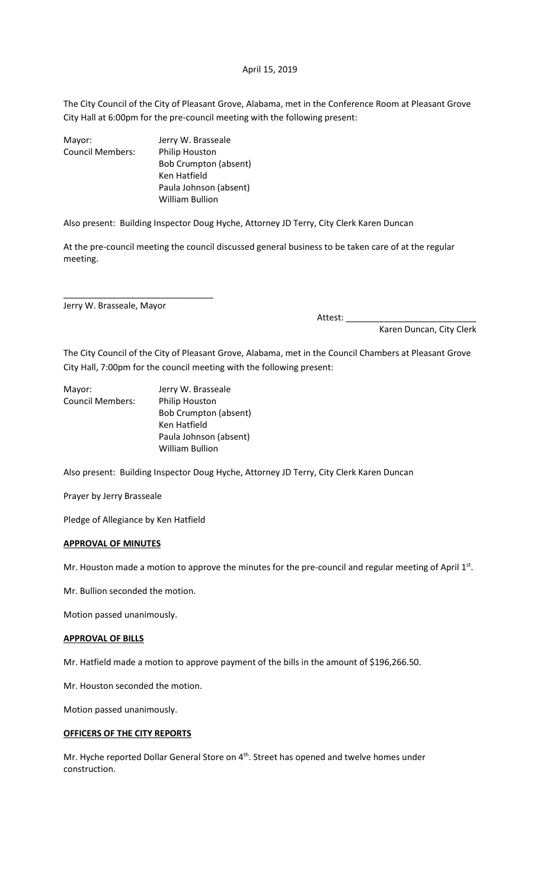# April 15, 2019

The City Council of the City of Pleasant Grove, Alabama, met in the Conference Room at Pleasant Grove City Hall at 6:00pm for the pre-council meeting with the following present:

| Mayor:           | Jerry W. Brasseale           |
|------------------|------------------------------|
| Council Members: | <b>Philip Houston</b>        |
|                  | <b>Bob Crumpton (absent)</b> |
|                  | Ken Hatfield                 |
|                  | Paula Johnson (absent)       |
|                  | William Bullion              |

Also present: Building Inspector Doug Hyche, Attorney JD Terry, City Clerk Karen Duncan

At the pre-council meeting the council discussed general business to be taken care of at the regular meeting.

Jerry W. Brasseale, Mayor

\_\_\_\_\_\_\_\_\_\_\_\_\_\_\_\_\_\_\_\_\_\_\_\_\_\_\_\_\_\_\_

Attest: \_\_\_\_\_\_\_\_\_\_\_\_\_\_\_\_\_\_\_\_\_\_\_\_\_\_\_

Karen Duncan, City Clerk

The City Council of the City of Pleasant Grove, Alabama, met in the Council Chambers at Pleasant Grove City Hall, 7:00pm for the council meeting with the following present:

| Mayor:           | Jerry W. Brasseale           |
|------------------|------------------------------|
| Council Members: | <b>Philip Houston</b>        |
|                  | <b>Bob Crumpton (absent)</b> |
|                  | Ken Hatfield                 |
|                  | Paula Johnson (absent)       |
|                  | <b>William Bullion</b>       |

Also present: Building Inspector Doug Hyche, Attorney JD Terry, City Clerk Karen Duncan

Prayer by Jerry Brasseale

Pledge of Allegiance by Ken Hatfield

#### **APPROVAL OF MINUTES**

Mr. Houston made a motion to approve the minutes for the pre-council and regular meeting of April 1st.

Mr. Bullion seconded the motion.

Motion passed unanimously.

#### **APPROVAL OF BILLS**

Mr. Hatfield made a motion to approve payment of the bills in the amount of \$196,266.50.

Mr. Houston seconded the motion.

Motion passed unanimously.

# **OFFICERS OF THE CITY REPORTS**

Mr. Hyche reported Dollar General Store on 4<sup>th</sup>. Street has opened and twelve homes under construction.